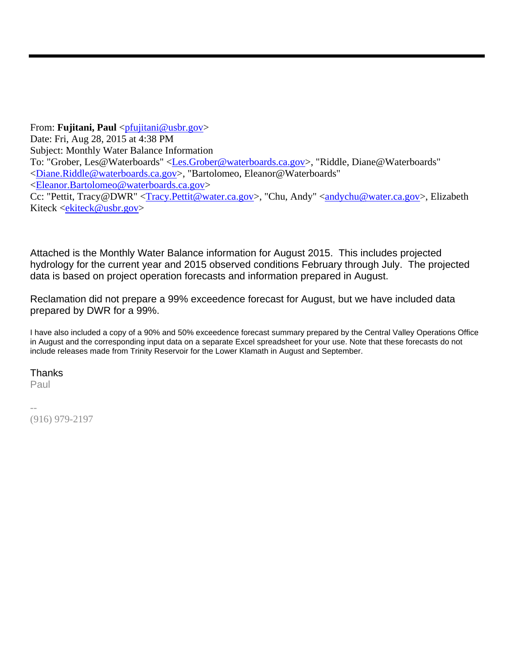From: **Fujitani, Paul** <pplitani@usbr.gov> Date: Fri, Aug 28, 2015 at 4:38 PM Subject: Monthly Water Balance Information To: "Grober, Les@Waterboards" <Les.Grober@waterboards.ca.gov>, "Riddle, Diane@Waterboards" <Diane.Riddle@waterboards.ca.gov>, "Bartolomeo, Eleanor@Waterboards" <Eleanor.Bartolomeo@waterboards.ca.gov> Cc: "Pettit, Tracy@DWR" <Tracy.Pettit@water.ca.gov>, "Chu, Andy" <andychu@water.ca.gov>, Elizabeth Kiteck <ekiteck@usbr.gov>

Attached is the Monthly Water Balance information for August 2015. This includes projected hydrology for the current year and 2015 observed conditions February through July. The projected data is based on project operation forecasts and information prepared in August.

Reclamation did not prepare a 99% exceedence forecast for August, but we have included data prepared by DWR for a 99%.

I have also included a copy of a 90% and 50% exceedence forecast summary prepared by the Central Valley Operations Office in August and the corresponding input data on a separate Excel spreadsheet for your use. Note that these forecasts do not include releases made from Trinity Reservoir for the Lower Klamath in August and September.

# Thanks

Paul

-- (916) 979-2197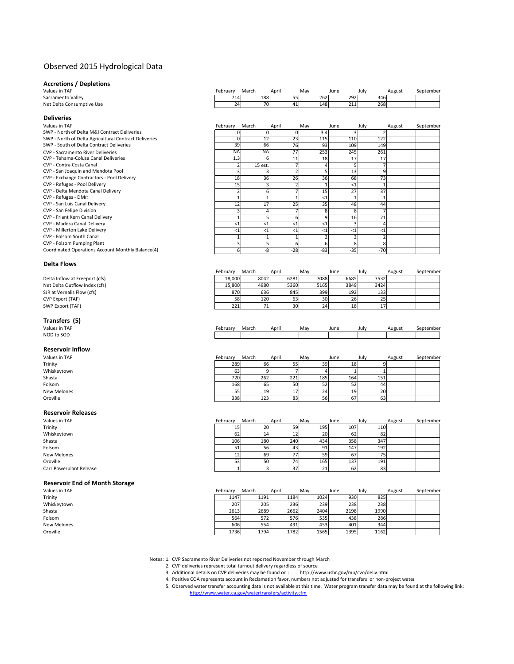#### Observed 2015 Hydrological Data

Coordinated Operations Account Monthly Balance(4)

# **Accretions / Depletions**

Sacramento Valley Net Delta Consumptive Use

**Deliveries**

| Values in TAF             | -ebruarv | March | Aprin |      | Mav | June | July | August | September |
|---------------------------|----------|-------|-------|------|-----|------|------|--------|-----------|
| Sacramento Vallev         | 714      |       | 188   |      | 262 | 292  | 346  |        |           |
| Net Delta Consumptive Use | 24       |       | 70    | -41. | 148 | 211  | 268  |        |           |

| Values in TAF                                         | February  | March           | April | May   | June  | July  | August | September |
|-------------------------------------------------------|-----------|-----------------|-------|-------|-------|-------|--------|-----------|
| SWP - North of Delta M&I Contract Deliveries          |           |                 |       | 3.4   |       |       |        |           |
| SWP - North of Delta Agricultural Contract Deliveries |           | $1\overline{2}$ | 23    | 115   | 110   | 122   |        |           |
| SWP - South of Delta Contract Deliveries              | 39        | 66              | 76    | 93    | 109   | 149   |        |           |
| <b>CVP - Sacramento River Deliveries</b>              | <b>NA</b> | <b>NA</b>       | 77    | 253   | 245   | 261   |        |           |
| CVP - Tehama-Colusa Canal Deliveries                  | 1.3       |                 |       | 18    | 17    | 17    |        |           |
| CVP - Contra Costa Canal                              |           | 15 est.         |       |       |       |       |        |           |
| CVP - San Joaquin and Mendota Pool                    |           |                 |       |       | 13    |       |        |           |
| CVP - Exchange Contractors - Pool Delivery            | 18        | 36              | 26    | 36    | 68    | 73    |        |           |
| CVP - Refuges - Pool Delivery                         | 15        |                 |       |       | $<$ 1 |       |        |           |
| CVP - Delta Mendota Canal Delivery                    |           |                 |       | 15    | 27    | 37    |        |           |
| CVP - Refuges - DMC                                   |           |                 |       | $<$ 1 |       |       |        |           |
| CVP - San Luis Canal Delivery                         | 12        | 17              | 25    | 35    | 48    | 44    |        |           |
| CVP - San Felipe Division                             |           |                 |       |       |       |       |        |           |
| CVP - Friant Kern Canal Delivery                      |           |                 |       |       | 16    | 21    |        |           |
| CVP - Madera Canal Delivery                           | <1        | <1              |       | <'    |       |       |        |           |
| CVP - Millerton Lake Delivery                         | <1        | <1              |       | <'    |       |       |        |           |
| CVP - Folsom South Canal                              |           |                 |       |       |       |       |        |           |
| CVP - Folsom Pumping Plant                            |           |                 |       |       |       |       |        |           |
| Coordinated Operations Account Monthly Balance(4)     | 6         | -8              | $-28$ | $-83$ | $-35$ | $-70$ |        |           |

#### **Delta Flows**

|                                | Februarv | March | April | Mav             | June | July | August | September |
|--------------------------------|----------|-------|-------|-----------------|------|------|--------|-----------|
| Delta Inflow at Freeport (cfs) | 18.000   | 8042  | 6281  | 7088            | 6685 | 7532 |        |           |
| Net Delta Outflow Index (cfs)  | 15.800   | 4980  | 5360  | 5165            | 3849 | 3424 |        |           |
| SJR at Vernalis Flow (cfs)     | 870      | 636   | 845   | 399             | 192  | 133  |        |           |
| CVP Export (TAF)               | 58       | 120   | 63    | 30 <sup>1</sup> | 26   | 25   |        |           |
| SWP Export (TAF)               | 221      |       | 30    |                 | 18   |      |        |           |

# **Transfers (5)**<br>Values in TAF

Values in TAF February March April May June July August September (Premier August September NOD to SOD

#### **Reservoir Inflow**

| Values in TAF | February | March | April | May | June | July | August | September |
|---------------|----------|-------|-------|-----|------|------|--------|-----------|
| Trinity       | 289      | 66    | 55    | 39  | 18   |      |        |           |
| Whiskeytown   | 63       |       |       |     |      |      |        |           |
| Shasta        | 720      | 262   | 221   | 185 | 164  | 151  |        |           |
| Folsom        | 168      | 65    | 50    | 52  | 52   | 44   |        |           |
| New Melones   | 55       | 19    |       | 24  | 19   | 20   |        |           |
| Oroville      | 338      | 123   | 83    | 56  | 67   | 63   |        |           |

# **Reservoir Releases**

Carr Powerplant Release

| Values in TAF           | February | March | April | May      | June | July | August | September |
|-------------------------|----------|-------|-------|----------|------|------|--------|-----------|
| Trinity                 | 15       | 20    | 59    | 195      | 107  | 110  |        |           |
| Whiskeytown             | 62       | 14    |       | 20       | 62   | 82   |        |           |
| Shasta                  | 106      | 180   | 240   | 434      | 358  | 347  |        |           |
| Folsom                  | 51       | 56    |       | 91       | 147  | 192  |        |           |
| New Melones             | 12       | 69    | 77    | 59       | 67   | 75   |        |           |
| Oroville                | 53       | 50    | 74    | 165      | 137  | 191  |        |           |
| Carr Powerplant Release |          |       | 37    | 24<br>41 | 62   | 83   |        |           |

#### **Reservoir End of Month Storage**

| Values in TAF | February | March | April | May  | June | July | August | September |
|---------------|----------|-------|-------|------|------|------|--------|-----------|
| Trinity       | 1147     | 1191  | 1184  | 1024 | 930  | 825  |        |           |
| Whiskeytown   | 207      | 205   | 236   | 239  | 238  | 238  |        |           |
| Shasta        | 2613     | 2689  | 2662  | 2404 | 2198 | 1990 |        |           |
| Folsom        | 564      | 572   | 576   | 535  | 438  | 286  |        |           |
| New Melones   | 606      | 554   | 491   | 453  | 401  | 344  |        |           |
| Oroville      | 1736     | 1794  | 1782  | 1565 | 1395 | 1162 |        |           |
|               |          |       |       |      |      |      |        |           |

Notes: 1. CVP Sacramento River Deliveries not reported November through March

2. CVP deliveries represent total turnout delivery regardless of source

- 3. Additional details on CVP deliveries may be found on : http://www.usbr.gov/mp/cvo/deliv.html
- 4. Positive COA represents account in Reclamation favor, numbers not adjusted for transfers or non‐project water
- 5. Observed water transfer accounting data is not available at this time. Water program transfer data may be found at the following link:<br>http://www.water.ca.gov/watertransfers/activity.cfm http://www.water.ca.gov/watertransfers/activity.cfm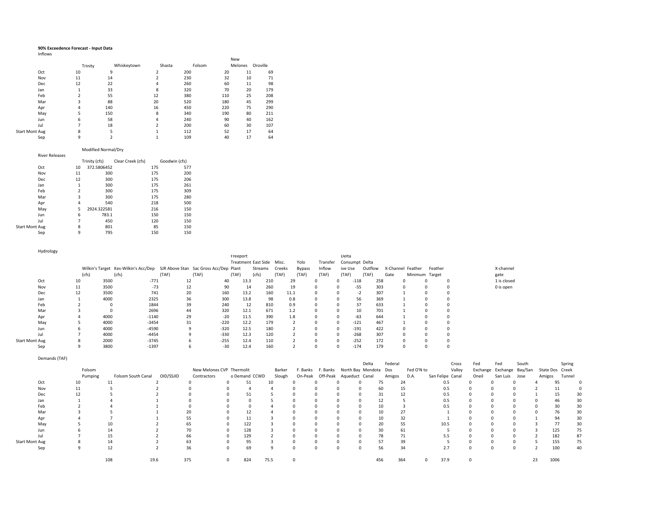#### **90% Exceedence Forecast ‐ Input Data**

|  | Inflows |  |
|--|---------|--|
|--|---------|--|

|                       |         |             |                         |        | New |         |          |
|-----------------------|---------|-------------|-------------------------|--------|-----|---------|----------|
|                       | Trinity | Whiskeytown | Shasta                  | Folsom |     | Melones | Oroville |
| Oct                   | 10      | 9           | $\overline{\mathbf{c}}$ | 200    | 20  | 11      | 69       |
| Nov                   | 11      | 14          | $\overline{\mathbf{c}}$ | 230    | 32  | 10      | 71       |
| Dec                   | 12      | 22          | 4                       | 260    | 60  | 11      | 98       |
| Jan                   |         | 33          | 8                       | 320    | 70  | 20      | 179      |
| Feb                   |         | 55          | 12                      | 380    | 110 | 25      | 208      |
| Mar                   | 3       | 88          | 20                      | 520    | 180 | 45      | 299      |
| Apr                   | 4       | 140         | 16                      | 450    | 220 | 75      | 290      |
| May                   | 5       | 150         | 8                       | 340    | 190 | 80      | 211      |
| Jun                   | 6       | 58          | 4                       | 240    | 90  | 40      | 162      |
| Jul                   |         | 18          | $\overline{\mathbf{z}}$ | 200    | 60  | 30      | 107      |
| <b>Start Mont Aug</b> | 8       | 5           |                         | 112    | 52  | 17      | 64       |
| Sep                   | 9       | h           |                         | 109    | 40  | 17      | 64       |

#### Modified Normal/Dry

|                | <b>River Releases</b> |                         |               |                   |               |     |
|----------------|-----------------------|-------------------------|---------------|-------------------|---------------|-----|
|                |                       |                         | Trinity (cfs) | Clear Creek (cfs) | Goodwin (cfs) |     |
|                | Oct                   | 10                      | 372.5806452   |                   | 175           | 577 |
|                | Nov                   | 11                      | 300           |                   | 175           | 200 |
|                | Dec                   | 12                      | 300           |                   | 175           | 206 |
|                | Jan                   | 1                       | 300           |                   | 175           | 261 |
|                | Feb                   | $\overline{\mathbf{c}}$ | 300           |                   | 175           | 309 |
|                | Mar                   | 3                       | 300           |                   | 175           | 280 |
|                | Apr                   | 4                       | 540           |                   | 218           | 500 |
|                | May                   | 5                       | 2924.322581   |                   | 216           | 150 |
|                | Jun                   | 6                       | 783.1         |                   | 150           | 150 |
|                | Jul                   | 7                       | 450           |                   | 120           | 150 |
| Start Mont Aug |                       | 8                       | 801           |                   | 85            | 150 |
|                | Sep                   | 9                       | 795           |                   | 150           | 150 |

| Hydrology             |    |          |       |       |                                                                                                                                                          |                                              |                            |                                                             |                                                                                                     |                                                                                                               |                                              |              |          |                                                                                                               |                                    |                                                                                  |                                                                               |                |             |  |
|-----------------------|----|----------|-------|-------|----------------------------------------------------------------------------------------------------------------------------------------------------------|----------------------------------------------|----------------------------|-------------------------------------------------------------|-----------------------------------------------------------------------------------------------------|---------------------------------------------------------------------------------------------------------------|----------------------------------------------|--------------|----------|---------------------------------------------------------------------------------------------------------------|------------------------------------|----------------------------------------------------------------------------------|-------------------------------------------------------------------------------|----------------|-------------|--|
|                       |    |          |       |       |                                                                                                                                                          |                                              |                            |                                                             |                                                                                                     |                                                                                                               |                                              |              |          |                                                                                                               |                                    |                                                                                  |                                                                               |                |             |  |
|                       |    |          |       |       |                                                                                                                                                          |                                              |                            |                                                             | Misc.                                                                                               | Yolo                                                                                                          |                                              |              |          |                                                                                                               |                                    |                                                                                  |                                                                               |                |             |  |
|                       |    |          |       |       |                                                                                                                                                          |                                              |                            |                                                             | Creeks                                                                                              | <b>Bypass</b>                                                                                                 | Inflow                                       |              |          |                                                                                                               |                                    |                                                                                  | Feather                                                                       |                | X-channel   |  |
|                       |    |          | (cfs) | (TAF) | (TAF)                                                                                                                                                    |                                              |                            | (cfs)                                                       | (TAF)                                                                                               | (TAF)                                                                                                         | (TAF)                                        |              |          |                                                                                                               | Gate                               |                                                                                  |                                                                               |                | gate        |  |
| Oct                   | 10 | 3500     |       |       |                                                                                                                                                          | 40                                           |                            |                                                             |                                                                                                     |                                                                                                               |                                              | 0            |          |                                                                                                               |                                    |                                                                                  |                                                                               | $\Omega$       | 1 is closed |  |
| Nov                   | 11 | 3500     |       |       |                                                                                                                                                          | 90                                           |                            |                                                             |                                                                                                     |                                                                                                               | $\Omega$                                     | $\Omega$     |          |                                                                                                               |                                    |                                                                                  |                                                                               | $\Omega$       | 0 is open   |  |
| Dec                   | 12 | 3500     |       |       |                                                                                                                                                          | 160                                          |                            |                                                             |                                                                                                     |                                                                                                               | 0                                            | $\Omega$     |          |                                                                                                               |                                    |                                                                                  |                                                                               |                |             |  |
| Jan                   |    | 4000     |       |       |                                                                                                                                                          | 300                                          |                            |                                                             |                                                                                                     |                                                                                                               | $\Omega$                                     | $\Omega$     |          |                                                                                                               |                                    |                                                                                  |                                                                               |                |             |  |
| Feb                   |    |          |       |       |                                                                                                                                                          | 240                                          |                            |                                                             |                                                                                                     |                                                                                                               |                                              | 0            |          |                                                                                                               |                                    |                                                                                  |                                                                               |                |             |  |
| Mar                   |    | $\Omega$ |       |       |                                                                                                                                                          | 320                                          |                            |                                                             |                                                                                                     |                                                                                                               | $\mathbf 0$                                  | 0            |          |                                                                                                               |                                    |                                                                                  |                                                                               | $\Omega$       |             |  |
| Apr                   |    | 4000     |       |       |                                                                                                                                                          | $-20$                                        |                            |                                                             |                                                                                                     |                                                                                                               | $\Omega$                                     | $\Omega$     |          |                                                                                                               |                                    |                                                                                  |                                                                               | n              |             |  |
| May                   |    | 4000     |       |       |                                                                                                                                                          | $-220$                                       |                            |                                                             |                                                                                                     |                                                                                                               |                                              | $\Omega$     | $-121$   |                                                                                                               |                                    |                                                                                  |                                                                               |                |             |  |
| Jun                   |    | 4000     |       |       |                                                                                                                                                          |                                              |                            |                                                             |                                                                                                     |                                                                                                               | $\Omega$                                     | $\Omega$     | $-191$   |                                                                                                               |                                    |                                                                                  |                                                                               |                |             |  |
| Jul                   |    | 4000     |       |       |                                                                                                                                                          |                                              |                            |                                                             |                                                                                                     |                                                                                                               |                                              | $\mathbf{0}$ |          |                                                                                                               |                                    |                                                                                  |                                                                               |                |             |  |
| <b>Start Mont Aug</b> |    | 2000     |       |       |                                                                                                                                                          |                                              |                            |                                                             |                                                                                                     |                                                                                                               | 0                                            | $\Omega$     |          |                                                                                                               |                                    |                                                                                  |                                                                               | $\Omega$       |             |  |
| Sep                   |    | 3800     |       |       |                                                                                                                                                          | $-30$                                        |                            |                                                             |                                                                                                     |                                                                                                               |                                              | 0            |          |                                                                                                               |                                    |                                                                                  |                                                                               |                |             |  |
|                       |    |          | (cfs) |       | Wilkin's Target Kes-Wilkin's Acc/Dep<br>$-771$<br>$-73$<br>741<br>2325<br>1844<br>2696<br>$-1140$<br>$-3454$<br>$-4590$<br>$-4454$<br>$-3745$<br>$-1397$ | 12<br>12<br>20<br>36<br>39<br>44<br>29<br>31 | $-320$<br>$-330$<br>$-255$ | Freeport<br>SJR Above Stan Sac Gross Acc/Dep Plant<br>(TAF) | Streams<br>13.3<br>14<br>13.2<br>13.8<br>12<br>12.1<br>11.5<br>12.2<br>12.5<br>12.3<br>12.4<br>12.4 | <b>Treatment East Side</b><br>210<br>260<br>160<br>98<br>810<br>671<br>390<br>179<br>180<br>120<br>110<br>160 | 29<br>19<br>11.1<br>0.8<br>0.9<br>1.2<br>1.8 |              | Transfer | Delta<br>ive Use<br>(TAF)<br>$-118$<br>$-55$<br>$-2$<br>56<br>37<br>10<br>$-63$<br>$-268$<br>$-252$<br>$-174$ | Consumpt Delta<br>Outflow<br>(TAF) | 258<br>303<br>307<br>369<br>633<br>701<br>644<br>467<br>422<br>307<br>172<br>179 | X-Channel Feather<br>$\Omega$<br>$\Omega$<br>$\Omega$<br>$\Omega$<br>$\Omega$ | Minimum Target |             |  |

|                | Demands (TAF) |         |                    |           |                           |               |        |          |          |                |                       |             |            |                  |        |       |                           |       |                 |        |    |
|----------------|---------------|---------|--------------------|-----------|---------------------------|---------------|--------|----------|----------|----------------|-----------------------|-------------|------------|------------------|--------|-------|---------------------------|-------|-----------------|--------|----|
|                |               |         |                    |           |                           |               |        |          |          |                | Delta                 | Federal     |            |                  | Cross  | Fed   | Fed                       | South |                 | Spring |    |
|                |               | Folsom  |                    |           | New Melones CVP Thermolit |               | Barker | F. Banks | F. Banks |                | North Bay Mendota Dos |             | Fed O'N to |                  | Valley |       | Exchange Exchange Bay/San |       | State Dos Creek |        |    |
|                |               | Pumping | Folsom South Canal | OID/SSJID | Contractors               | o Demand CCWD | Slough | On-Peak  | Off-Peak | Aqueduct Canal |                       | Amigos D.A. |            | San Felipe Canal |        | Oneil | San Luis                  | Jose  | Amigos          | Tunnel |    |
|                | Oct           | 10      |                    |           |                           | 51            | 10     |          |          |                |                       | 75          | 24         | 0.5              |        |       |                           |       |                 | 95     |    |
|                | Nov           | 11      |                    |           |                           |               |        |          | $\Omega$ |                |                       | 60          | 15         | 0.5              |        |       |                           |       |                 | 11     |    |
|                | Dec           |         |                    |           |                           | 51            |        |          |          |                |                       | 31          |            | 0.5              |        |       |                           |       |                 | 15     | 30 |
|                | Jan           |         |                    |           |                           |               |        |          |          |                |                       | 12          |            | 0.5              |        |       |                           |       |                 |        | 30 |
|                | Feb           |         |                    |           |                           |               |        |          |          |                |                       | 10          |            | 0.5              |        |       |                           |       |                 |        | 30 |
|                | Mar           |         |                    |           | 20                        |               |        |          |          |                |                       | 10          | 27         |                  |        |       |                           |       |                 | 76     | 30 |
|                | Apr           |         |                    |           |                           |               |        |          |          |                |                       | 10          |            |                  |        |       |                           |       |                 | 94     | 30 |
|                | May           |         |                    |           | 65                        | 122           |        |          |          |                |                       | 20          | 55         | 10.5             |        |       |                           |       |                 | 77     | 30 |
|                | Jun           |         |                    |           | 70                        | 128           |        |          |          |                |                       | 30          | 61         |                  |        |       |                           |       | 125             |        | 75 |
|                | Jul           |         |                    |           | 66                        | 129           |        |          |          |                |                       | 78          |            |                  |        |       |                           |       | 182             |        | 87 |
| Start Mont Aug |               |         | 14                 |           | 63                        | 95            |        |          |          |                |                       | 57          | 39         |                  |        |       |                           |       | 155             |        | 75 |
|                | Sep           |         | 12                 |           | 36                        | 69            |        |          | $\Omega$ |                |                       | 56          | 34         | 2.7              |        |       |                           |       | 100             |        | 40 |
|                |               |         | 108                | 19.6      | 375                       | 824           | 75.5   |          |          |                | 456                   | 364         |            | 37.9             |        |       |                           |       | 1006<br>23      |        |    |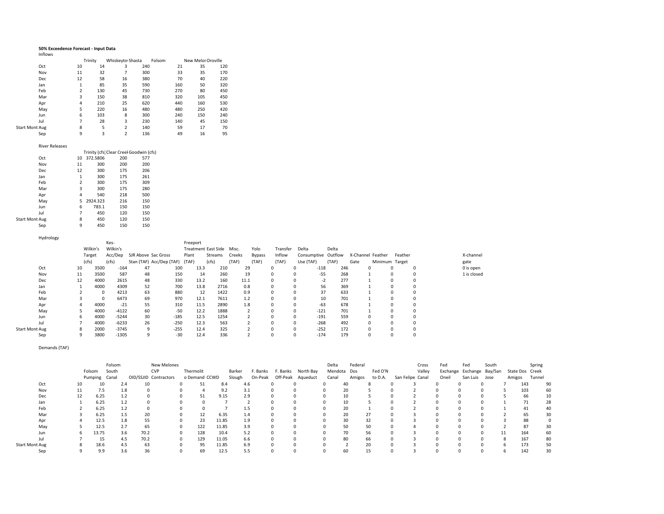### **50% Exceedence Forecast ‐ Input Data** Inflows

|                       |            |                | Trinity | Whiskeyto Shasta |     | Folsom |     | New Melor Oroville |     |
|-----------------------|------------|----------------|---------|------------------|-----|--------|-----|--------------------|-----|
|                       | Oct        | 10             | 14      | 3                | 240 |        | 21  | 35                 | 120 |
|                       | Nov        | 11             | 32      | 7                | 300 |        | 33  | 35                 | 170 |
|                       | <b>Dec</b> | 12             | 58      | 16               | 380 |        | 70  | 40                 | 220 |
|                       | Jan        | $\overline{1}$ | 85      | 35               | 590 |        | 160 | 50                 | 320 |
|                       | Feb        | 2              | 130     | 45               | 730 |        | 270 | 80                 | 450 |
|                       | Mar        | 3              | 150     | 38               | 810 |        | 320 | 105                | 450 |
|                       | Apr        | 4              | 210     | 25               | 620 |        | 440 | 160                | 530 |
|                       | May        | 5              | 220     | 16               | 480 |        | 480 | 250                | 420 |
|                       | Jun        | 6              | 103     | 8                | 300 |        | 240 | 150                | 240 |
|                       | Jul        | 7              | 28      | 3                | 230 |        | 140 | 45                 | 150 |
| <b>Start Mont Aug</b> |            | 8              | 5       | 2                | 140 |        | 59  | 17                 | 70  |
|                       | Sep        | 9              | 3       | 2                | 136 |        | 49  | 16                 | 95  |

| River Releases        |    |                                         |     |     |
|-----------------------|----|-----------------------------------------|-----|-----|
|                       |    | Trinity (cfs) Clear Creel Goodwin (cfs) |     |     |
| Oct                   | 10 | 372.5806                                | 200 | 577 |
| Nov                   | 11 | 300                                     | 200 | 200 |
| <b>Dec</b>            | 12 | 300                                     | 175 | 206 |
| Jan                   | 1  | 300                                     | 175 | 261 |
| Feb                   | 2  | 300                                     | 175 | 309 |
| Mar                   | 3  | 300                                     | 175 | 280 |
| Apr                   | 4  | 540                                     | 218 | 500 |
| May                   | 5  | 2924.323                                | 216 | 150 |
| Jun                   | 6  | 783.1                                   | 150 | 150 |
| Jul                   | 7  | 450                                     | 120 | 150 |
| <b>Start Mont Aug</b> | 8  | 450                                     | 120 | 150 |
| Sep                   | 9  | 450                                     | 150 | 150 |

| Hydrology             |    |           |          |                     |                          |          |                            |        |        |          |                     |       |      |                   |                |   |             |
|-----------------------|----|-----------|----------|---------------------|--------------------------|----------|----------------------------|--------|--------|----------|---------------------|-------|------|-------------------|----------------|---|-------------|
|                       |    |           | Kes-     |                     |                          | Freeport |                            |        |        |          |                     |       |      |                   |                |   |             |
|                       |    | Wilkin's  | Wilkin's |                     |                          |          | <b>Treatment East Side</b> | Misc.  | Yolo   | Transfer | Delta               | Delta |      |                   |                |   |             |
|                       |    | Target    | Acc/Dep  | SJR Above Sac Gross |                          | Plant    | Streams                    | Creeks | Bypass | Inflow   | Consumptive Outflow |       |      | X-Channel Feather | Feather        |   | X-channel   |
|                       |    | (cfs)     | (cfs)    |                     | Stan (TAF) Acc/Dep (TAF) | (TAF)    | (cfs)                      | (TAF)  | (TAF)  | (TAF)    | Use (TAF)           | (TAF) | Gate |                   | Minimum Target |   | gate        |
| Oct                   | 10 | 3500      | $-164$   | 47                  | 100                      | 13.3     | 210                        | 29     |        | 0        | $-118$              | 246   |      | $\Omega$          | 0              |   | 0 is open   |
| Nov                   | 11 | 3500      | 587      | 48                  | 150                      | 14       | 260                        | 19     |        | 0        | $-55$               | 268   |      |                   | 0              |   | 1 is closed |
| Dec                   | 12 | 4000      | 2615     | 48                  | 330                      | 13.2     | 160                        | 11.1   |        | 0        | $-2$                | 277   |      |                   | 0              |   |             |
| Jan                   |    | 4000      | 4309     | 52                  | 700                      | 13.8     | 2716                       | 0.8    |        | 0        | 56                  | 369   |      |                   | 0              |   |             |
| Feb                   |    | 0         | 4213     | 63                  | 880                      | 12       | 1422                       | 0.9    |        | $\Omega$ | 37                  | 633   |      |                   | $\mathbf 0$    | 0 |             |
| Mar                   |    | 0         | 6473     | 69                  | 970                      | 12.1     | 7611                       | 1.2    |        |          | 10                  | 701   |      |                   | $\Omega$       |   |             |
| Apr                   |    | 4000      | $-21$    | 55                  | 310                      | 11.5     | 2890                       | 1.8    |        |          | $-63$               | 678   |      |                   |                |   |             |
| May                   |    | 4000      | $-4122$  | 60                  | $-50$                    | 12.2     | 1888                       |        |        |          | $-121$              | 701   |      |                   |                |   |             |
| Jun                   |    | 4000<br>6 | $-5244$  | 30                  | $-185$                   | 12.5     | 1254                       |        |        |          | $-191$              | 559   |      |                   | 0              |   |             |
| Jul                   |    | 4000      | $-6233$  | 26                  | $-250$                   | 12.3     | 563                        |        |        | 0        | $-268$              | 492   |      | $\Omega$          | 0              |   |             |
| <b>Start Mont Aug</b> |    | 2000<br>8 | $-3745$  | 9                   | $-255$                   | 12.4     | 325                        |        |        | $\Omega$ | $-252$              | 172   |      | $\Omega$          | $\mathbf 0$    |   |             |
| Sep                   |    | 3800<br>9 | $-1305$  | 9                   | $-30$                    | 12.4     | 336                        |        |        | $\Omega$ | $-174$              | 179   |      | $\Omega$          | 0              |   |             |

#### Demands (TAF)

|                       |    |               | Folsom |     |      | New Melones           |               |       |        |          |          |           | Delta | Federal     |         |                  | Cross  | Fed   | Fed                       | South |        | Spring          |    |
|-----------------------|----|---------------|--------|-----|------|-----------------------|---------------|-------|--------|----------|----------|-----------|-------|-------------|---------|------------------|--------|-------|---------------------------|-------|--------|-----------------|----|
|                       |    | Folsom        | South  |     |      | <b>CVP</b>            | Thermolit     |       | Barker | F. Banks | . Banks  | North Bay |       | Mendota Dos | Fed O'N |                  | Valley |       | Exchange Exchange Bay/San |       |        | State Dos Creek |    |
|                       |    | Pumping Canal |        |     |      | OID/SSJID Contractors | o Demand CCWD |       | Slough | On-Peak  | Off-Peak | Aqueduct  | Canal | Amigos      | to D.A. | San Felipe Canal |        | Oneil | San Luis                  | Jose  | Amigos | Tunnel          |    |
| Oct                   | 10 | 10            |        | 2.4 | 10   |                       | 51            | 8.4   |        | 4.6      |          |           |       | 40          |         |                  |        |       |                           |       |        | 143             | 90 |
| Nov                   | 11 | 7.5           |        | 1.8 |      |                       |               | 9.2   |        | 3.1      |          |           |       | 20          |         |                  |        |       |                           |       |        | 103             | 60 |
| Dec                   | 12 | 6.25          |        | 1.2 |      |                       | 51            | 9.15  |        | 2.9      |          |           |       | 10          |         |                  |        |       |                           |       |        | 66              | 10 |
| Jan                   |    | 6.25          |        | 1.2 |      |                       |               |       |        |          |          |           |       | 10          |         |                  |        |       |                           |       |        |                 | 28 |
| Feb                   |    | 6.25          |        | 1.2 |      |                       |               |       |        | 1.5      |          |           |       | 20          |         |                  |        |       |                           |       |        | 41              | 40 |
| Mar                   |    | 6.25          |        | 1.5 | 20   |                       | 12            | 6.35  |        | 1.4      |          |           |       | 20          | 27      |                  |        |       |                           |       |        | 65              | 30 |
| Apr                   |    | 12.5          |        | 1.8 | 55   |                       | 23            | 11.85 |        | 1.9      |          |           |       | 30          | 32      |                  |        |       |                           |       |        | 88              |    |
| May                   |    | 12.5          |        | 2.7 | 65   |                       | 122           | 11.85 |        | 3.9      |          |           |       | 50          | 50      |                  |        |       |                           |       |        | 87              | 30 |
| Jun                   | ь. | 13.75         |        | 3.6 | 70.2 |                       | 128           | 10.4  |        | 5.2      |          |           |       | 70          | 56      |                  |        |       |                           |       | 11     | 164             | 60 |
| Jul                   |    | 15            |        | 4.5 | 70.2 |                       | 129           | 11.05 |        | 6.6      |          |           |       | 80          | 66      |                  |        |       |                           |       |        | 167             | 80 |
| <b>Start Mont Aug</b> |    | 18.6          |        | 4.5 | 63   |                       | 95            | 11.85 |        | 6.9      |          |           |       |             | 20      |                  |        |       |                           |       |        | 173             | 50 |
| Sep                   |    | 9.9           |        | 3.6 | 36   |                       | 69            | 12.5  |        | 5.5      |          |           |       | 60          | 15      |                  |        |       |                           |       |        | 142             | 30 |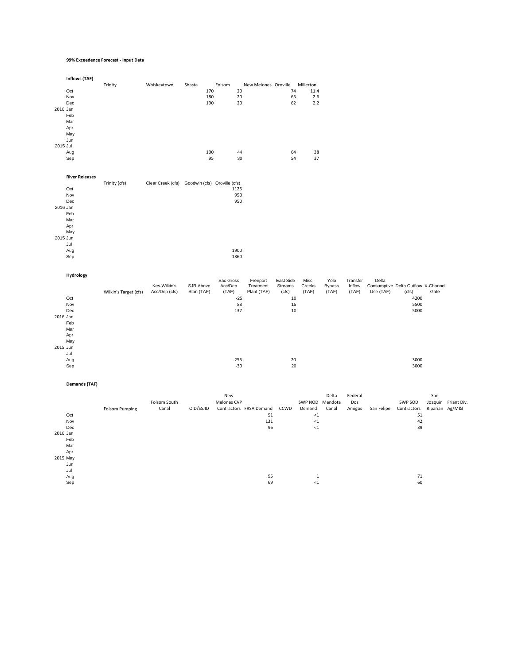#### **99% Exceedence Forecast ‐ Input Data**

| 2016 Jan<br>2015 Jul | Inflows (TAF)<br>Oct<br>Nov<br>$\mathsf{Dec}$<br>Feb<br>Mar<br>Apr<br>May<br>Jun<br>Aug<br>Sep | Trinity               | Whiskeytown                                    | Shasta<br>170<br>180<br>190<br>100<br>95 | Folsom<br>20<br>20<br>$20\,$<br>44<br>30                               | New Melones Oroville                                   | 74<br>65<br>62<br>64<br>54                                  | Millerton<br>11.4<br>2.6<br>$2.2\,$<br>38<br>37                                   |                                |                             |                    |                                                                                      |                        |                     |
|----------------------|------------------------------------------------------------------------------------------------|-----------------------|------------------------------------------------|------------------------------------------|------------------------------------------------------------------------|--------------------------------------------------------|-------------------------------------------------------------|-----------------------------------------------------------------------------------|--------------------------------|-----------------------------|--------------------|--------------------------------------------------------------------------------------|------------------------|---------------------|
| 2016 Jan<br>2015 Jun | <b>River Releases</b><br>Oct<br>Nov<br>Dec<br>Feb<br>Mar<br>Apr<br>May<br>Jul<br>Aug<br>Sep    | Trinity (cfs)         | Clear Creek (cfs) Goodwin (cfs) Oroville (cfs) |                                          | 1125<br>950<br>950<br>1900<br>1360                                     |                                                        |                                                             |                                                                                   |                                |                             |                    |                                                                                      |                        |                     |
| 2016 Jan<br>2015 Jun | Hydrology<br>Oct<br>Nov<br>Dec<br>Feb<br>Mar<br>Apr<br>May<br>Jul<br>Aug<br>Sep                | Wilkin's Target (cfs) | Kes-Wilkin's<br>Acc/Dep (cfs)                  | SJR Above<br>Stan (TAF)                  | Sac Gross<br>Acc/Dep<br>(TAF)<br>$-25$<br>88<br>137<br>$-255$<br>$-30$ | Freeport<br>Treatment<br>Plant (TAF)                   | East Side<br>Streams<br>(cfs)<br>10<br>15<br>10<br>20<br>20 | Misc.<br>Creeks<br>(TAF)                                                          | Yolo<br><b>Bypass</b><br>(TAF) | Transfer<br>Inflow<br>(TAF) | Delta<br>Use (TAF) | Consumptive Delta Outflow X-Channel<br>(cfs)<br>4200<br>5500<br>5000<br>3000<br>3000 | Gate                   |                     |
| 2016 Jan<br>2015 May | <b>Demands (TAF)</b><br>Oct<br>Nov<br>Dec<br>Feb<br>Mar<br>Apr<br>Jun<br>Jul<br>Aug<br>Sep     | <b>Folsom Pumping</b> | Folsom South<br>Canal                          | OID/SSJID                                | New<br>Melones CVP                                                     | Contractors FRSA Demand<br>51<br>131<br>96<br>95<br>69 | CCWD                                                        | SWP NOD Mendota<br>Demand<br>${<}1$<br>$<1\,$<br>${<}1$<br>$\mathbf{1}$<br>${<}1$ | Delta<br>Canal                 | Federal<br>Dos<br>Amigos    | San Felipe         | SWP SOD<br>Contractors<br>51<br>42<br>39<br>$71\,$<br>60                             | San<br>Riparian Ag/M&I | Joaquin Friant Div. |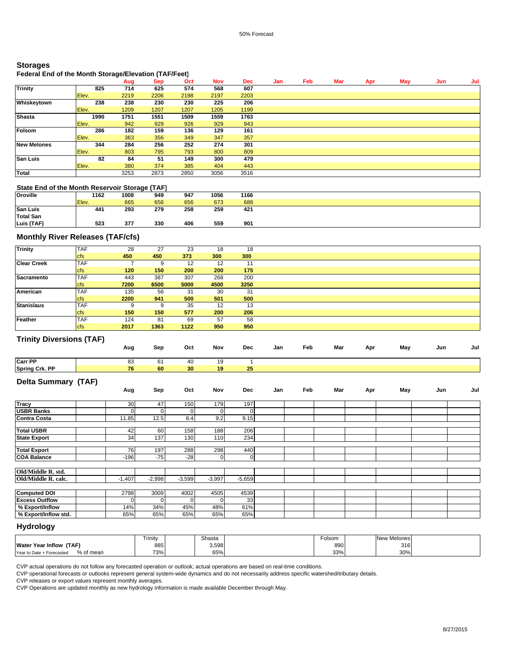### **Storages**

## **Federal End of the Month Storage/Elevation (TAF/Feet)**

|                    |       | Aug  | <b>Sep</b> | Oct  | <b>Nov</b> | <b>Dec</b> | Jan | Feb | Mar | Apr | May | Jun | Jul |
|--------------------|-------|------|------------|------|------------|------------|-----|-----|-----|-----|-----|-----|-----|
| <b>Trinity</b>     | 825   | 714  | 625        | 574  | 568        | 607        |     |     |     |     |     |     |     |
|                    | Elev. | 2219 | 2206       | 2198 | 2197       | 2203       |     |     |     |     |     |     |     |
| Whiskeytown        | 238   | 238  | 230        | 230  | 225        | 206        |     |     |     |     |     |     |     |
|                    | Elev. | 1209 | 1207       | 1207 | 1205       | 1199       |     |     |     |     |     |     |     |
| <b>Shasta</b>      | 1990  | 1751 | 1551       | 1509 | 1559       | 1763       |     |     |     |     |     |     |     |
|                    | Elev. | 942  | 929        | 926  | 929        | 943        |     |     |     |     |     |     |     |
| Folsom             | 286   | 182  | 159        | 136  | 129        | 161        |     |     |     |     |     |     |     |
|                    | Elev. | 363  | 356        | 349  | 347        | 357        |     |     |     |     |     |     |     |
| <b>New Melones</b> | 344   | 284  | 256        | 252  | 274        | 301        |     |     |     |     |     |     |     |
|                    | Elev. | 803  | 795        | 793  | 800        | 809        |     |     |     |     |     |     |     |
| <b>San Luis</b>    | 82    | 84   | 51         | 149  | 300        | 479        |     |     |     |     |     |     |     |
|                    | Elev. | 380  | 374        | 385  | 404        | 443        |     |     |     |     |     |     |     |
| <b>Total</b>       |       | 3253 | 2873       | 2850 | 3056       | 3516       |     |     |     |     |     |     |     |

#### **State End of the Month Reservoir Storage (TAF)**

|                  |       | . .  |     |     |      |      |  |
|------------------|-------|------|-----|-----|------|------|--|
| <b>Oroville</b>  | 1162  | 1008 | 949 | 947 | 1056 | 1166 |  |
|                  | Elev. | 665  | 656 | 656 | 673  | 688  |  |
| <b>San Luis</b>  | 441   | 293  | 279 | 258 | 259  | 421  |  |
| <b>Total San</b> |       |      |     |     |      |      |  |
| Luis (TAF)       | 523   | 377  | 330 | 406 | 559  | 901  |  |

## **Monthly River Releases (TAF/cfs)**

| <b>Trinity</b>     | <b>TAF</b> | 28   | 27   | 23   | 18   | 18   |  |
|--------------------|------------|------|------|------|------|------|--|
|                    | <b>cfs</b> | 450  | 450  | 373  | 300  | 300  |  |
| <b>Clear Creek</b> | <b>TAF</b> |      |      | 12   | 12   | -1-1 |  |
|                    | <b>cfs</b> | 120  | 150  | 200  | 200  | 175  |  |
| Sacramento         | <b>TAF</b> | 443  | 387  | 307  | 268  | 200  |  |
|                    | <b>cfs</b> | 7200 | 6500 | 5000 | 4500 | 3250 |  |
| American           | <b>TAF</b> | 135  | 56   | 31   | 30   | 31   |  |
|                    | <b>cfs</b> | 2200 | 941  | 500  | 501  | 500  |  |
| <b>Stanislaus</b>  | <b>TAF</b> | 9    |      | 35   | 12   | 13   |  |
|                    | <b>cfs</b> | 150  | 150  | 577  | 200  | 206  |  |
| Feather            | <b>TAF</b> | 124  | 81   | 69   | 57   | 58   |  |
|                    | <b>cfs</b> | 2017 | 1363 | 1122 | 950  | 950  |  |

### **Trinity Diversions (TAF)**

| $\ldots$ $\ldots$ , $\ldots$ $\ldots$ $\ldots$ $\ldots$ $\ldots$ | Aug | Sep | Oct | Nov | Dec | Jan | Feb | Mar | Apr | May | Jun | Jul |
|------------------------------------------------------------------|-----|-----|-----|-----|-----|-----|-----|-----|-----|-----|-----|-----|
| Carr PP                                                          | 83  | 61  | 40  | 1 Q |     |     |     |     |     |     |     |     |
| Spring Crk. PP                                                   | 76  | 60  | 30  | 19  | 25  |     |     |     |     |     |     |     |

### **Delta Summary (TAF)**

| $\cdot$ $\cdot$<br>$\overline{\phantom{a}}$ | Aug      | Sep      | Oct          | Nov          | Dec      | Jan | Feb | Mar | Apr | May | Jun | Jul |
|---------------------------------------------|----------|----------|--------------|--------------|----------|-----|-----|-----|-----|-----|-----|-----|
| <b>Tracy</b>                                | 30       | 47       | 150          | 179          | 197      |     |     |     |     |     |     |     |
| <b>USBR Banks</b>                           | 0        | 0        | $\mathbf{0}$ | 0            |          |     |     |     |     |     |     |     |
| <b>Contra Costa</b>                         | 11.85    | 12.5     | 8.4          | 9.2          | 9.15     |     |     |     |     |     |     |     |
| <b>Total USBR</b>                           | 42       | 60       | 158          | 188          | 206      |     |     |     |     |     |     |     |
| <b>State Export</b>                         | 34       | 137      | 130          | 110          | 234      |     |     |     |     |     |     |     |
|                                             |          |          |              |              |          |     |     |     |     |     |     |     |
| <b>Total Export</b>                         | 76       | 197      | 288          | 298          | 440      |     |     |     |     |     |     |     |
| <b>COA Balance</b>                          | $-196$   | $-75$    | $-28$        | $\mathbf{0}$ | 0        |     |     |     |     |     |     |     |
|                                             |          |          |              |              |          |     |     |     |     |     |     |     |
| Old/Middle R. std.                          |          |          |              |              |          |     |     |     |     |     |     |     |
| Old/Middle R. calc.                         | $-1,407$ | $-2,998$ | $-3,599$     | $-3,997$     | $-5,659$ |     |     |     |     |     |     |     |
|                                             |          |          |              |              |          |     |     |     |     |     |     |     |
| <b>Computed DOI</b>                         | 2798     | 3009     | 4002         | 4505         | 4539     |     |     |     |     |     |     |     |
| <b>Excess Outflow</b>                       |          |          | ٥I           | $\Omega$     | 33       |     |     |     |     |     |     |     |
| % Export/Inflow                             | 14%      | 34%      | 45%          | 48%          | 61%      |     |     |     |     |     |     |     |
| % Export/Inflow std.                        | 65%      | 65%      | 65%          | 65%          | 65%      |     |     |     |     |     |     |     |

#### **Hydrology**

|                                           | Trinity | Shasta | Folsom | New Melones |  |
|-------------------------------------------|---------|--------|--------|-------------|--|
| Water Year Inflow (TAF)                   | 885     | 3,598  | 890    | 316         |  |
| % of mean<br>Year to Date<br>- Forecastec | 73%     | 65%    | 33%    | 30%         |  |

CVP actual operations do not follow any forecasted operation or outlook; actual operations are based on real-time conditions.

CVP operational forecasts or outlooks represent general system-wide dynamics and do not necessarily address specific watershed/tributary details.

CVP releases or export values represent monthly averages.

CVP Operations are updated monthly as new hydrology information is made available December through May.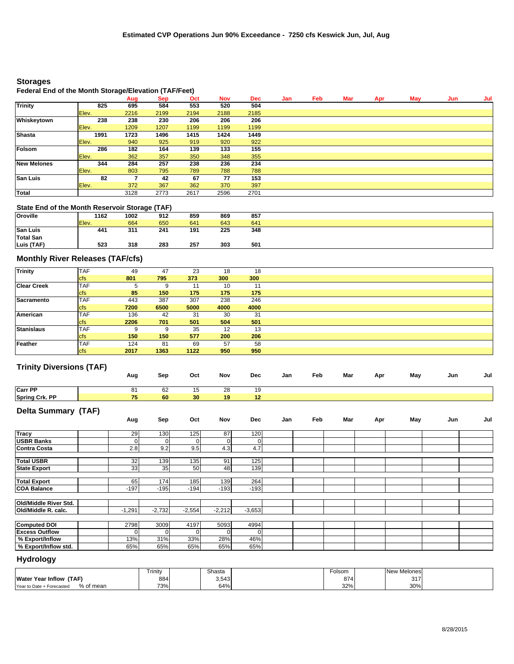## **Storages**

### **Federal End of the Month Storage/Elevation (TAF/Feet)**

|                    |       | -    |            |      |            |            |     |     |     |     |     |     |     |
|--------------------|-------|------|------------|------|------------|------------|-----|-----|-----|-----|-----|-----|-----|
|                    |       | Aug  | <b>Sep</b> | Oct  | <b>Nov</b> | <b>Dec</b> | Jan | Feb | Mar | Apr | May | Jun | Jul |
| <b>Trinity</b>     | 825   | 695  | 584        | 553  | 520        | 504        |     |     |     |     |     |     |     |
|                    | Elev. | 2216 | 2199       | 2194 | 2188       | 2185       |     |     |     |     |     |     |     |
| Whiskeytown        | 238   | 238  | 230        | 206  | 206        | 206        |     |     |     |     |     |     |     |
|                    | Elev. | 1209 | 1207       | 1199 | 1199       | 1199       |     |     |     |     |     |     |     |
| <b>Shasta</b>      | 1991  | 1723 | 1496       | 1415 | 1424       | 1449       |     |     |     |     |     |     |     |
|                    | Elev. | 940  | 925        | 919  | 920        | 922        |     |     |     |     |     |     |     |
| Folsom             | 286   | 182  | 164        | 139  | 133        | 155        |     |     |     |     |     |     |     |
|                    | Elev. | 362  | 357        | 350  | 348        | 355        |     |     |     |     |     |     |     |
| <b>New Melones</b> | 344   | 284  | 257        | 238  | 236        | 234        |     |     |     |     |     |     |     |
|                    | Elev. | 803  | 795        | 789  | 788        | 788        |     |     |     |     |     |     |     |
| <b>San Luis</b>    | 82    |      | 42         | 67   | 77         | 153        |     |     |     |     |     |     |     |
|                    | Elev. | 372  | 367        | 362  | 370        | 397        |     |     |     |     |     |     |     |
| Total              |       | 3128 | 2773       | 2617 | 2596       | 2701       |     |     |     |     |     |     |     |

## **State End of the Month Reservoir Storage (TAF)**

| Oroville        | 1162  | 1002 | 912 | 859 | 869 | 857 |  |
|-----------------|-------|------|-----|-----|-----|-----|--|
|                 | Elev. | 664  | 650 | 641 | 643 | 641 |  |
| <b>San Luis</b> | 441   | 311  | 241 | 191 | 225 | 348 |  |
| Total San       |       |      |     |     |     |     |  |
| Luis (TAF)      | 523   | 318  | 283 | 257 | 303 | 501 |  |

## **Monthly River Releases (TAF/cfs)**

| <b>Trinity</b>     | <b>TAF</b> | 49   | 47   | 23   | 18   | 18   |  |
|--------------------|------------|------|------|------|------|------|--|
|                    | <b>cfs</b> | 801  | 795  | 373  | 300  | 300  |  |
| <b>Clear Creek</b> | <b>TAF</b> | 5.   |      | 11   | 10   | 11   |  |
|                    | <b>cfs</b> | 85   | 150  | 175  | 175  | 175  |  |
| Sacramento         | <b>TAF</b> | 443  | 387  | 307  | 238  | 246  |  |
|                    | <b>cfs</b> | 7200 | 6500 | 5000 | 4000 | 4000 |  |
| American           | <b>TAF</b> | 136  | 42   | 31   | 30   | 31   |  |
|                    | <b>cfs</b> | 2206 | 701  | 501  | 504  | 501  |  |
| <b>Stanislaus</b>  | <b>TAF</b> | 9    |      | 35   | 12   | 13   |  |
|                    | <b>cfs</b> | 150  | 150  | 577  | 200  | 206  |  |
| Feather            | <b>TAF</b> | 124  | 81   | 69   | 57   | 58   |  |
|                    | <b>cfs</b> | 2017 | 1363 | 1122 | 950  | 950  |  |

### **Trinity Diversions (TAF)**

|                         | Aug | Sep | Oct | Nov             | Dec | Jan | Feb | Mar | Apr | May | Jun | Jul |
|-------------------------|-----|-----|-----|-----------------|-----|-----|-----|-----|-----|-----|-----|-----|
| <b>Carr PP</b>          | 81  | 62  | 15  | 28              | 19  |     |     |     |     |     |     |     |
| <b>Spring Crk. PP</b>   | 75  | 60  | 30  | 19 <sup>°</sup> | 12  |     |     |     |     |     |     |     |
| Build Advisor and PEARY |     |     |     |                 |     |     |     |     |     |     |     |     |

#### **Delta Summary (TAF)**

|  |  |  | 120         | 87       | 125      |          |          |                       |
|--|--|--|-------------|----------|----------|----------|----------|-----------------------|
|  |  |  |             |          |          |          |          |                       |
|  |  |  |             |          |          | 130      | 29       | <b>Tracy</b>          |
|  |  |  | $\mathbf 0$ |          | 0        |          |          | <b>USBR Banks</b>     |
|  |  |  | 4.7         | 4.3      | 9.5      | 9.2      | 2.8      | <b>Contra Costa</b>   |
|  |  |  |             |          |          |          |          |                       |
|  |  |  | 125         | 91       | 135      | 139      | 32       | <b>Total USBR</b>     |
|  |  |  | 139         | 48       | 50       | 35       | 33       | <b>State Export</b>   |
|  |  |  |             |          |          |          |          |                       |
|  |  |  |             |          |          |          |          |                       |
|  |  |  | $-193$      | $-193$   | $-194$   | $-195$   | $-197$   | <b>COA Balance</b>    |
|  |  |  |             |          |          |          |          |                       |
|  |  |  |             |          |          |          |          | Old/Middle River Std. |
|  |  |  | $-3,653$    | $-2,212$ | $-2,554$ | $-2,732$ | $-1,291$ | Old/Middle R. calc.   |
|  |  |  |             |          |          |          |          |                       |
|  |  |  | 4994        | 5093     | 4197     | 3009     | 2798     | <b>Computed DOI</b>   |
|  |  |  | 0           |          | 0        |          |          | <b>Excess Outflow</b> |
|  |  |  | 46%         | 28%      | 33%      | 31%      | 13%      | % Export/Inflow       |
|  |  |  | 65%         | 65%      | 65%      | 65%      | 65%      | % Export/Inflow std.  |
|  |  |  | 264         | 139      | 185      | 174      | 65       | <b>Total Export</b>   |

# **Hydrology**

|                                        | Trinity | Shasta | olsom | New Melones |  |
|----------------------------------------|---------|--------|-------|-------------|--|
| (TAF)<br><b>Water Year Inflow</b>      | 884     | 3,543  | 874   | 317         |  |
| % of mean<br>Year to Date + Forecasted | 73%     | 64%    | 32%   | 30%         |  |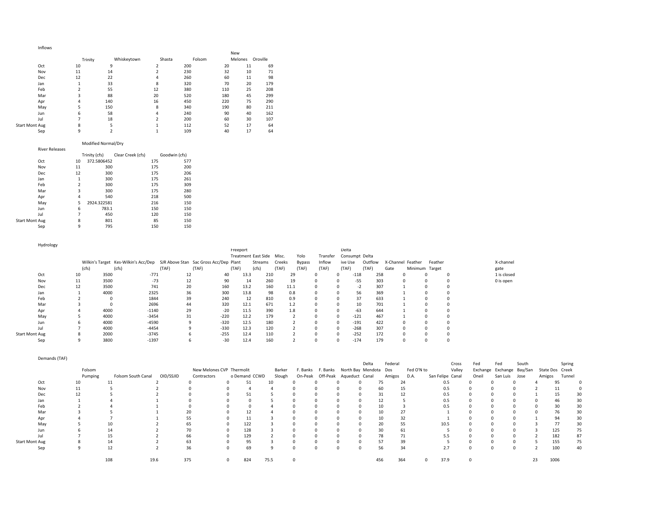| Inflows               |         |             |                         |        |     |         |          |
|-----------------------|---------|-------------|-------------------------|--------|-----|---------|----------|
|                       |         |             |                         |        | New |         |          |
|                       | Trinity | Whiskeytown | Shasta                  | Folsom |     | Melones | Oroville |
| Oct                   | 10      | 9           | $\overline{\mathbf{c}}$ | 200    | 20  | 11      | 69       |
| Nov                   | 11      | 14          | 2                       | 230    | 32  | 10      | 71       |
| Dec                   | 12      | 22          | 4                       | 260    | 60  | 11      | 98       |
| Jan                   |         | 33          | 8                       | 320    | 70  | 20      | 179      |
| Feb                   | 2       | 55          | 12                      | 380    | 110 | 25      | 208      |
| Mar                   | 3       | 88          | 20                      | 520    | 180 | 45      | 299      |
| Apr                   | 4       | 140         | 16                      | 450    | 220 | 75      | 290      |
| May                   | 5       | 150         | 8                       | 340    | 190 | 80      | 211      |
| Jun                   | 6       | 58          | 4                       | 240    | 90  | 40      | 162      |
| Jul                   |         | 18          | $\overline{\mathbf{z}}$ | 200    | 60  | 30      | 107      |
| <b>Start Mont Aug</b> | 8       | 5           |                         | 112    | 52  | 17      | 64       |

Sep 9 2 1 109 40 17 64

#### Start

#### Modified Normal/Dry

| <b>River Releases</b> |                |               |                   |     |               |
|-----------------------|----------------|---------------|-------------------|-----|---------------|
|                       |                | Trinity (cfs) | Clear Creek (cfs) |     | Goodwin (cfs) |
| Oct                   | 10             | 372.5806452   |                   | 175 | 577           |
| Nov                   | 11             | 300           |                   | 175 | 200           |
| Dec                   | 12             | 300           |                   | 175 | 206           |
| Jan                   | 1              | 300           |                   | 175 | 261           |
| Feb                   | $\overline{2}$ | 300           |                   | 175 | 309           |
| Mar                   | 3              | 300           |                   | 175 | 280           |
| Apr                   | 4              | 540           |                   | 218 | 500           |
| May                   | 5              | 2924.322581   |                   | 216 | 150           |
| Jun                   | 6              | 783.1         |                   | 150 | 150           |
| Jul                   | 7              | 450           |                   | 120 | 150           |
| <b>Start Mont Aug</b> | 8              | 801           |                   | 85  | 150           |

Sep 9 795 150 150

Hydrology Wilkin's Target Kes-Wilkin's Acc/Dep SJR Above Stan Sac Gross Acc/Dep Plant Streams Creeks  $(cfs)$ <br>10 (cfs) (TAF)<br>-771 (TAF) Freeport Treatment East Side Misc.  $(TAF)$ <br>40 (cfs) (TAF) Yolo Bypass (TAF) Transfer Consumpt DeltaInflow (TAF) Deltaive Use Outflow X-Channel Feather Feather  $(TAF)$  (118 (TAF) Minimum Target Gate X‐channel gate<br>1 is closed Oct 10 35000 -771 12 40 13.3 210 29 0 258 0 0 1 is closed 0 is open Nov 11 3500 ‐73 12 90 14 260 19 0 0 ‐55 303 0 0 0 0 is open Dec 12 3500 741 20 160 13.2 160 11.1 0 0 ‐2 307 1 0 0 Jan 1 4000 2325 36 300 13.8 98 0.8 0 0 56 369 1 0 0 $\begin{matrix}0\\0\end{matrix}$ Feb 2 0 1844 39 240 12 810 0.9 0 0 37 633 1 0 0Mar 3 0 2696 44 320 12.1 671 1.2 0 0 10 701 1 0 0 $\mathbf 0$ Apr 4 4000 ‐1140 29 ‐20 11.5 390 1.8 0 0 ‐63 644 1 0 0 May 5 4000 -3454 31 -220 12.2 179 2 0 0 Jun 6 4000 ‐4590 9 ‐320 12.5 180 2 0 0 ‐191 422 0 0 0 Jul 7 4000 ‐4454 9 ‐330 12.3 120 2 0 0 ‐268 307 0 0 0 **Start Mont Aug** t Mont Aug 8 2000 -3745 6 -255 12.4 110 2 0 0 -252 172 0 0 Sep 9 3800 -1397 6 -30 12.4 160 2 0 0 -174 179 0 0 0

|                       | Demands (TAF) |         |                    |             |                           |               |        |          |          |                         |                       |            |            |                  |       |                           |       |                 |        |    |
|-----------------------|---------------|---------|--------------------|-------------|---------------------------|---------------|--------|----------|----------|-------------------------|-----------------------|------------|------------|------------------|-------|---------------------------|-------|-----------------|--------|----|
|                       |               |         |                    |             |                           |               |        |          |          |                         | Delta                 | Federal    |            | Cross            | Fed   | Fed                       | South |                 | Spring |    |
|                       |               | Folsom  |                    |             | New Melones CVP Thermolit |               | Barker | F. Banks | F. Banks |                         | North Bay Mendota Dos |            | Fed O'N to | Valley           |       | Exchange Exchange Bay/San |       | State Dos Creek |        |    |
|                       |               | Pumping | Folsom South Canal | OID/SSJID   | Contractors               | o Demand CCWD | Slough | On-Peak  |          | Off-Peak Aqueduct Canal |                       | Amigos     | D.A.       | San Felipe Canal | Oneil | San Luis                  | Jose  | Amigos          | Tunnel |    |
|                       | Oct           | 10      | 11                 |             |                           |               | 10     |          |          |                         |                       | 75<br>24   |            | 0.5              |       |                           |       |                 |        |    |
|                       | Nov           | 11      |                    |             |                           |               |        |          |          |                         |                       | 60<br>15   |            | 0.5              |       |                           |       |                 |        |    |
|                       | Dec           | 12      |                    |             |                           |               |        |          |          |                         |                       | 31<br>12   |            | 0.5              |       |                           |       |                 | 15     |    |
|                       | Jan           |         |                    |             |                           |               |        |          |          |                         |                       | 12         |            | 0.5              |       |                           |       |                 | 46     |    |
|                       | Feb           |         |                    |             |                           |               |        |          |          |                         |                       | 10         |            | 0.5              |       |                           |       |                 | 30     |    |
|                       | Mar           |         |                    |             |                           |               |        |          |          |                         |                       | 10<br>27   |            |                  |       |                           |       |                 | 76     |    |
|                       | Apr           |         |                    |             | 55                        |               |        |          |          |                         |                       | 32<br>10   |            |                  |       |                           |       |                 | 94     |    |
|                       | May           |         |                    |             | 65                        | 122           |        |          |          |                         |                       | 20<br>55   |            | 10.5             |       |                           |       |                 | 77     |    |
|                       | Jun           |         | 14                 |             | 70                        | 128           |        |          |          |                         |                       | 30<br>61   |            |                  |       |                           |       |                 | 125    | 75 |
|                       | Jul           |         | 15                 |             | 66                        | 129           |        |          |          |                         |                       | 78<br>71   |            | 5.5              |       |                           |       | 182             |        | 87 |
| <b>Start Mont Aug</b> |               |         | 14                 |             | 63                        | 95            |        |          |          |                         |                       | 57<br>39   |            |                  |       |                           |       | 155             |        | 75 |
|                       | Sep           |         | 12                 |             | 36                        | 69            |        |          |          |                         |                       | 56<br>34   |            | 2.7              |       | $\Omega$                  |       | 100             |        | 40 |
|                       |               |         | 108                | 375<br>19.6 |                           | 824           | 75.5   |          |          |                         |                       | 456<br>364 |            | 37.9             |       |                           |       | 1006<br>23      |        |    |